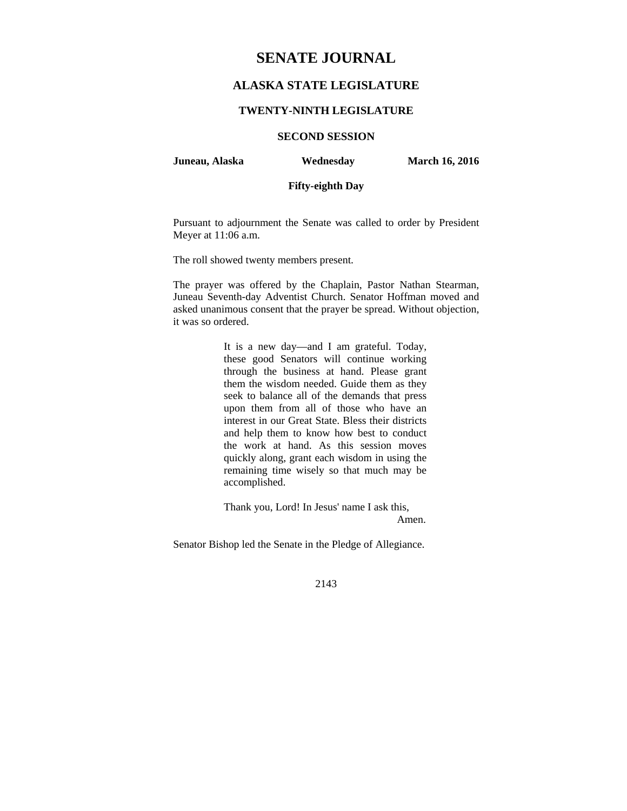# **SENATE JOURNAL**

## **ALASKA STATE LEGISLATURE**

### **TWENTY-NINTH LEGISLATURE**

**SECOND SESSION** 

**Juneau, Alaska Wednesday March 16, 2016** 

### **Fifty-eighth Day**

Pursuant to adjournment the Senate was called to order by President Meyer at 11:06 a.m.

The roll showed twenty members present.

The prayer was offered by the Chaplain, Pastor Nathan Stearman, Juneau Seventh-day Adventist Church. Senator Hoffman moved and asked unanimous consent that the prayer be spread. Without objection, it was so ordered.

> It is a new day—and I am grateful. Today, these good Senators will continue working through the business at hand. Please grant them the wisdom needed. Guide them as they seek to balance all of the demands that press upon them from all of those who have an interest in our Great State. Bless their districts and help them to know how best to conduct the work at hand. As this session moves quickly along, grant each wisdom in using the remaining time wisely so that much may be accomplished.

Thank you, Lord! In Jesus' name I ask this, Amen.

Senator Bishop led the Senate in the Pledge of Allegiance.

2143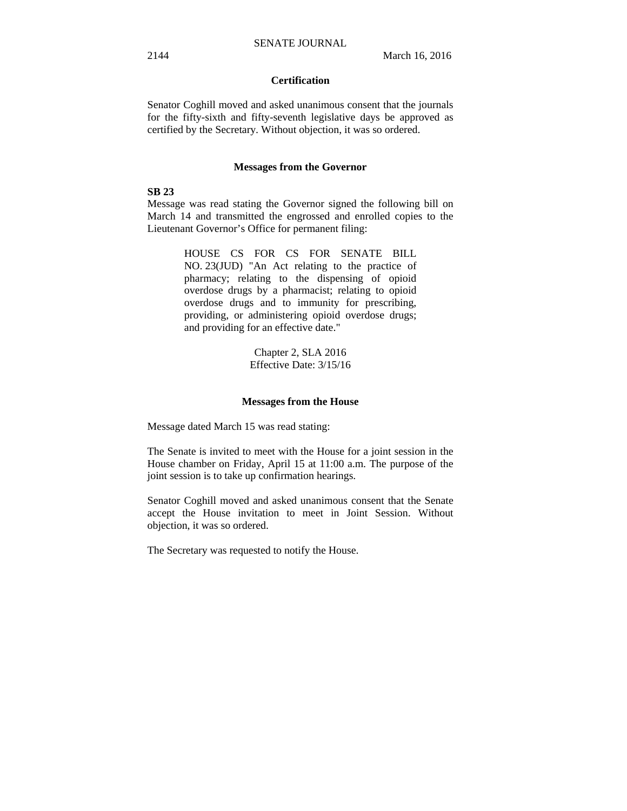### **Certification**

Senator Coghill moved and asked unanimous consent that the journals for the fifty-sixth and fifty-seventh legislative days be approved as certified by the Secretary. Without objection, it was so ordered.

#### **Messages from the Governor**

### **SB 23**

Message was read stating the Governor signed the following bill on March 14 and transmitted the engrossed and enrolled copies to the Lieutenant Governor's Office for permanent filing:

> HOUSE CS FOR CS FOR SENATE BILL NO. 23(JUD) "An Act relating to the practice of pharmacy; relating to the dispensing of opioid overdose drugs by a pharmacist; relating to opioid overdose drugs and to immunity for prescribing, providing, or administering opioid overdose drugs; and providing for an effective date."

> > Chapter 2, SLA 2016 Effective Date: 3/15/16

#### **Messages from the House**

Message dated March 15 was read stating:

The Senate is invited to meet with the House for a joint session in the House chamber on Friday, April 15 at 11:00 a.m. The purpose of the joint session is to take up confirmation hearings.

Senator Coghill moved and asked unanimous consent that the Senate accept the House invitation to meet in Joint Session. Without objection, it was so ordered.

The Secretary was requested to notify the House.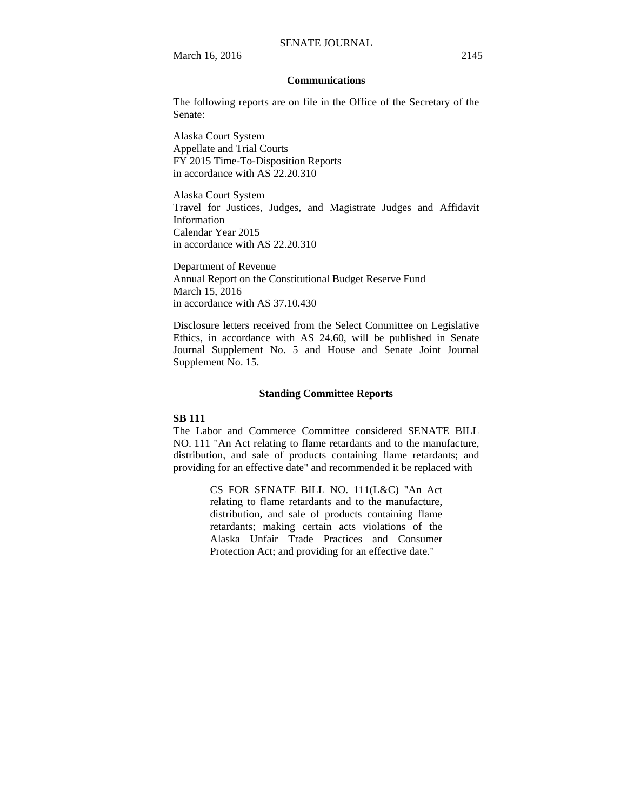March 16, 2016 2145

#### **Communications**

The following reports are on file in the Office of the Secretary of the Senate:

Alaska Court System Appellate and Trial Courts FY 2015 Time-To-Disposition Reports in accordance with AS 22.20.310

Alaska Court System Travel for Justices, Judges, and Magistrate Judges and Affidavit Information Calendar Year 2015 in accordance with AS 22.20.310

Department of Revenue Annual Report on the Constitutional Budget Reserve Fund March 15, 2016 in accordance with AS 37.10.430

Disclosure letters received from the Select Committee on Legislative Ethics, in accordance with AS 24.60, will be published in Senate Journal Supplement No. 5 and House and Senate Joint Journal Supplement No. 15.

#### **Standing Committee Reports**

### **SB 111**

The Labor and Commerce Committee considered SENATE BILL NO. 111 "An Act relating to flame retardants and to the manufacture, distribution, and sale of products containing flame retardants; and providing for an effective date" and recommended it be replaced with

> CS FOR SENATE BILL NO. 111(L&C) "An Act relating to flame retardants and to the manufacture, distribution, and sale of products containing flame retardants; making certain acts violations of the Alaska Unfair Trade Practices and Consumer Protection Act; and providing for an effective date."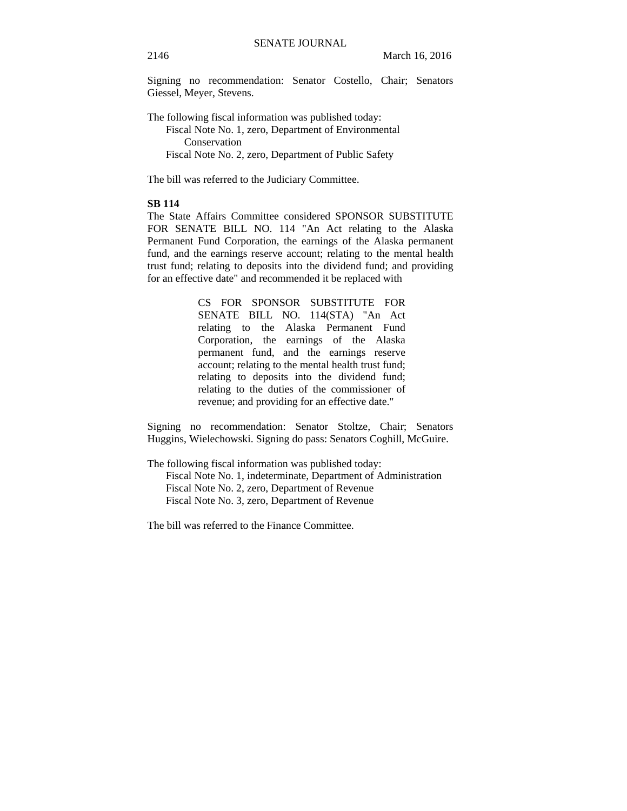Signing no recommendation: Senator Costello, Chair; Senators Giessel, Meyer, Stevens.

The following fiscal information was published today: Fiscal Note No. 1, zero, Department of Environmental Conservation Fiscal Note No. 2, zero, Department of Public Safety

The bill was referred to the Judiciary Committee.

### **SB 114**

The State Affairs Committee considered SPONSOR SUBSTITUTE FOR SENATE BILL NO. 114 "An Act relating to the Alaska Permanent Fund Corporation, the earnings of the Alaska permanent fund, and the earnings reserve account; relating to the mental health trust fund; relating to deposits into the dividend fund; and providing for an effective date" and recommended it be replaced with

> CS FOR SPONSOR SUBSTITUTE FOR SENATE BILL NO. 114(STA) "An Act relating to the Alaska Permanent Fund Corporation, the earnings of the Alaska permanent fund, and the earnings reserve account; relating to the mental health trust fund; relating to deposits into the dividend fund; relating to the duties of the commissioner of revenue; and providing for an effective date."

Signing no recommendation: Senator Stoltze, Chair; Senators Huggins, Wielechowski. Signing do pass: Senators Coghill, McGuire.

The following fiscal information was published today:

Fiscal Note No. 1, indeterminate, Department of Administration Fiscal Note No. 2, zero, Department of Revenue Fiscal Note No. 3, zero, Department of Revenue

The bill was referred to the Finance Committee.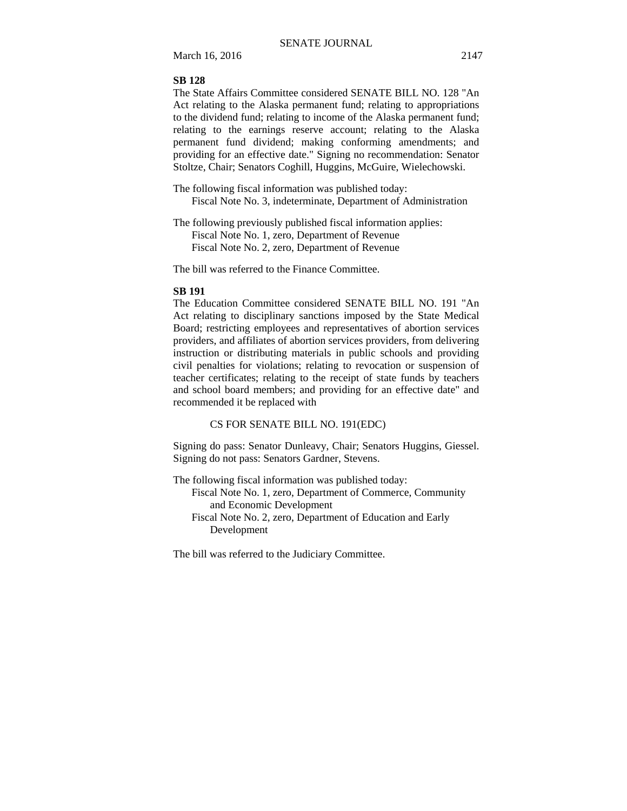March 16, 2016 2147

### **SB 128**

The State Affairs Committee considered SENATE BILL NO. 128 "An Act relating to the Alaska permanent fund; relating to appropriations to the dividend fund; relating to income of the Alaska permanent fund; relating to the earnings reserve account; relating to the Alaska permanent fund dividend; making conforming amendments; and providing for an effective date." Signing no recommendation: Senator Stoltze, Chair; Senators Coghill, Huggins, McGuire, Wielechowski.

The following fiscal information was published today: Fiscal Note No. 3, indeterminate, Department of Administration

The following previously published fiscal information applies: Fiscal Note No. 1, zero, Department of Revenue Fiscal Note No. 2, zero, Department of Revenue

The bill was referred to the Finance Committee.

### **SB 191**

The Education Committee considered SENATE BILL NO. 191 "An Act relating to disciplinary sanctions imposed by the State Medical Board; restricting employees and representatives of abortion services providers, and affiliates of abortion services providers, from delivering instruction or distributing materials in public schools and providing civil penalties for violations; relating to revocation or suspension of teacher certificates; relating to the receipt of state funds by teachers and school board members; and providing for an effective date" and recommended it be replaced with

CS FOR SENATE BILL NO. 191(EDC)

Signing do pass: Senator Dunleavy, Chair; Senators Huggins, Giessel. Signing do not pass: Senators Gardner, Stevens.

The following fiscal information was published today:

Fiscal Note No. 1, zero, Department of Commerce, Community and Economic Development

Fiscal Note No. 2, zero, Department of Education and Early Development

The bill was referred to the Judiciary Committee.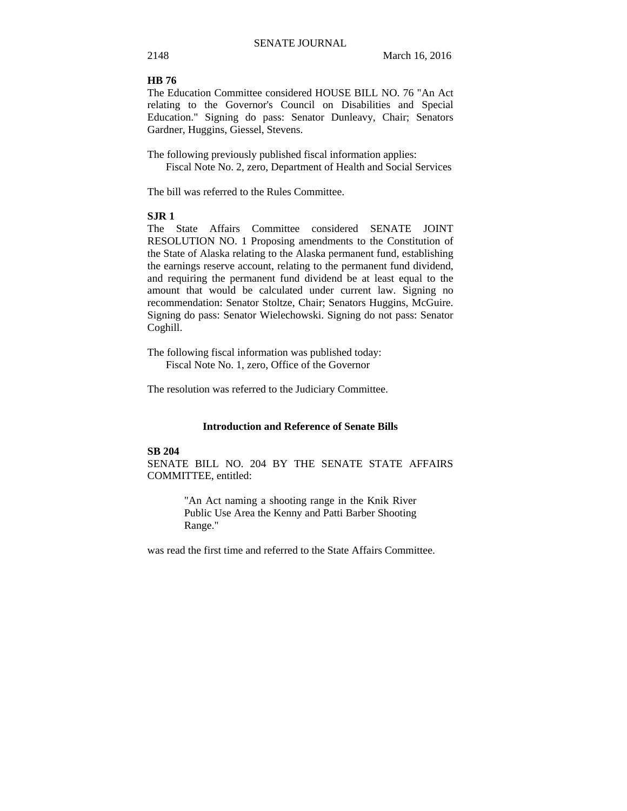### **HB 76**

The Education Committee considered HOUSE BILL NO. 76 "An Act relating to the Governor's Council on Disabilities and Special Education." Signing do pass: Senator Dunleavy, Chair; Senators Gardner, Huggins, Giessel, Stevens.

The following previously published fiscal information applies: Fiscal Note No. 2, zero, Department of Health and Social Services

The bill was referred to the Rules Committee.

### **SJR 1**

The State Affairs Committee considered SENATE JOINT RESOLUTION NO. 1 Proposing amendments to the Constitution of the State of Alaska relating to the Alaska permanent fund, establishing the earnings reserve account, relating to the permanent fund dividend, and requiring the permanent fund dividend be at least equal to the amount that would be calculated under current law. Signing no recommendation: Senator Stoltze, Chair; Senators Huggins, McGuire. Signing do pass: Senator Wielechowski. Signing do not pass: Senator Coghill.

The following fiscal information was published today: Fiscal Note No. 1, zero, Office of the Governor

The resolution was referred to the Judiciary Committee.

### **Introduction and Reference of Senate Bills**

#### **SB 204**

SENATE BILL NO. 204 BY THE SENATE STATE AFFAIRS COMMITTEE, entitled:

> "An Act naming a shooting range in the Knik River Public Use Area the Kenny and Patti Barber Shooting Range."

was read the first time and referred to the State Affairs Committee.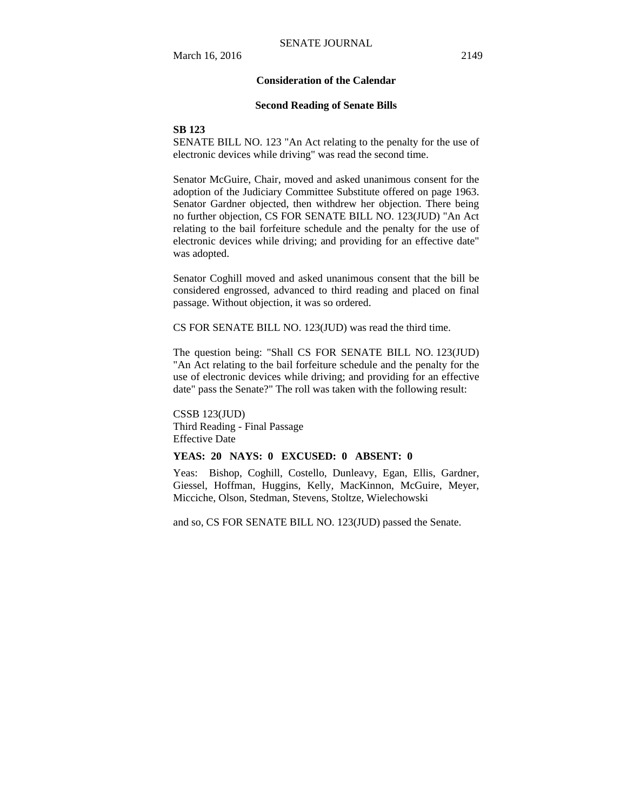#### **Consideration of the Calendar**

#### **Second Reading of Senate Bills**

#### **SB 123**

SENATE BILL NO. 123 "An Act relating to the penalty for the use of electronic devices while driving" was read the second time.

Senator McGuire, Chair, moved and asked unanimous consent for the adoption of the Judiciary Committee Substitute offered on page 1963. Senator Gardner objected, then withdrew her objection. There being no further objection, CS FOR SENATE BILL NO. 123(JUD) "An Act relating to the bail forfeiture schedule and the penalty for the use of electronic devices while driving; and providing for an effective date" was adopted.

Senator Coghill moved and asked unanimous consent that the bill be considered engrossed, advanced to third reading and placed on final passage. Without objection, it was so ordered.

CS FOR SENATE BILL NO. 123(JUD) was read the third time.

The question being: "Shall CS FOR SENATE BILL NO. 123(JUD) "An Act relating to the bail forfeiture schedule and the penalty for the use of electronic devices while driving; and providing for an effective date" pass the Senate?" The roll was taken with the following result:

CSSB 123(JUD) Third Reading - Final Passage Effective Date

### **YEAS: 20 NAYS: 0 EXCUSED: 0 ABSENT: 0**

Yeas: Bishop, Coghill, Costello, Dunleavy, Egan, Ellis, Gardner, Giessel, Hoffman, Huggins, Kelly, MacKinnon, McGuire, Meyer, Micciche, Olson, Stedman, Stevens, Stoltze, Wielechowski

and so, CS FOR SENATE BILL NO. 123(JUD) passed the Senate.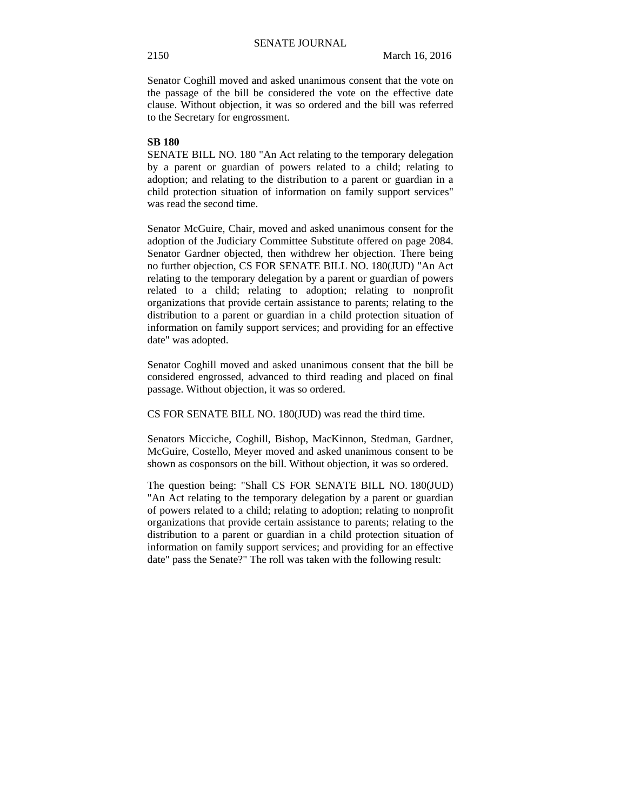Senator Coghill moved and asked unanimous consent that the vote on the passage of the bill be considered the vote on the effective date clause. Without objection, it was so ordered and the bill was referred to the Secretary for engrossment.

### **SB 180**

SENATE BILL NO. 180 "An Act relating to the temporary delegation by a parent or guardian of powers related to a child; relating to adoption; and relating to the distribution to a parent or guardian in a child protection situation of information on family support services" was read the second time.

Senator McGuire, Chair, moved and asked unanimous consent for the adoption of the Judiciary Committee Substitute offered on page 2084. Senator Gardner objected, then withdrew her objection. There being no further objection, CS FOR SENATE BILL NO. 180(JUD) "An Act relating to the temporary delegation by a parent or guardian of powers related to a child; relating to adoption; relating to nonprofit organizations that provide certain assistance to parents; relating to the distribution to a parent or guardian in a child protection situation of information on family support services; and providing for an effective date" was adopted.

Senator Coghill moved and asked unanimous consent that the bill be considered engrossed, advanced to third reading and placed on final passage. Without objection, it was so ordered.

CS FOR SENATE BILL NO. 180(JUD) was read the third time.

Senators Micciche, Coghill, Bishop, MacKinnon, Stedman, Gardner, McGuire, Costello, Meyer moved and asked unanimous consent to be shown as cosponsors on the bill. Without objection, it was so ordered.

The question being: "Shall CS FOR SENATE BILL NO. 180(JUD) "An Act relating to the temporary delegation by a parent or guardian of powers related to a child; relating to adoption; relating to nonprofit organizations that provide certain assistance to parents; relating to the distribution to a parent or guardian in a child protection situation of information on family support services; and providing for an effective date" pass the Senate?" The roll was taken with the following result: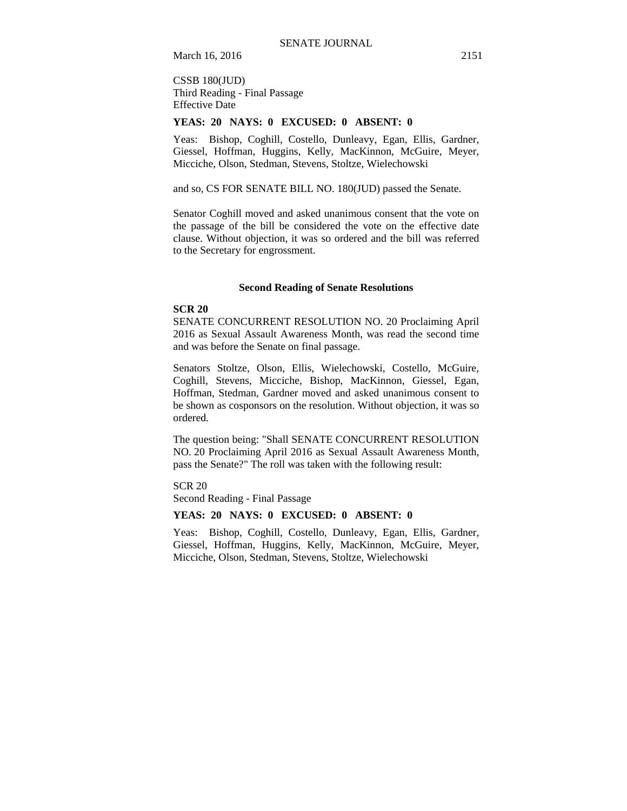March 16, 2016 2151

CSSB 180(JUD) Third Reading - Final Passage Effective Date

#### **YEAS: 20 NAYS: 0 EXCUSED: 0 ABSENT: 0**

Yeas: Bishop, Coghill, Costello, Dunleavy, Egan, Ellis, Gardner, Giessel, Hoffman, Huggins, Kelly, MacKinnon, McGuire, Meyer, Micciche, Olson, Stedman, Stevens, Stoltze, Wielechowski

and so, CS FOR SENATE BILL NO. 180(JUD) passed the Senate.

Senator Coghill moved and asked unanimous consent that the vote on the passage of the bill be considered the vote on the effective date clause. Without objection, it was so ordered and the bill was referred to the Secretary for engrossment.

#### **Second Reading of Senate Resolutions**

### **SCR 20**

SENATE CONCURRENT RESOLUTION NO. 20 Proclaiming April 2016 as Sexual Assault Awareness Month, was read the second time and was before the Senate on final passage.

Senators Stoltze, Olson, Ellis, Wielechowski, Costello, McGuire, Coghill, Stevens, Micciche, Bishop, MacKinnon, Giessel, Egan, Hoffman, Stedman, Gardner moved and asked unanimous consent to be shown as cosponsors on the resolution. Without objection, it was so ordered.

The question being: "Shall SENATE CONCURRENT RESOLUTION NO. 20 Proclaiming April 2016 as Sexual Assault Awareness Month, pass the Senate?" The roll was taken with the following result:

SCR 20

Second Reading - Final Passage

#### **YEAS: 20 NAYS: 0 EXCUSED: 0 ABSENT: 0**

Yeas: Bishop, Coghill, Costello, Dunleavy, Egan, Ellis, Gardner, Giessel, Hoffman, Huggins, Kelly, MacKinnon, McGuire, Meyer, Micciche, Olson, Stedman, Stevens, Stoltze, Wielechowski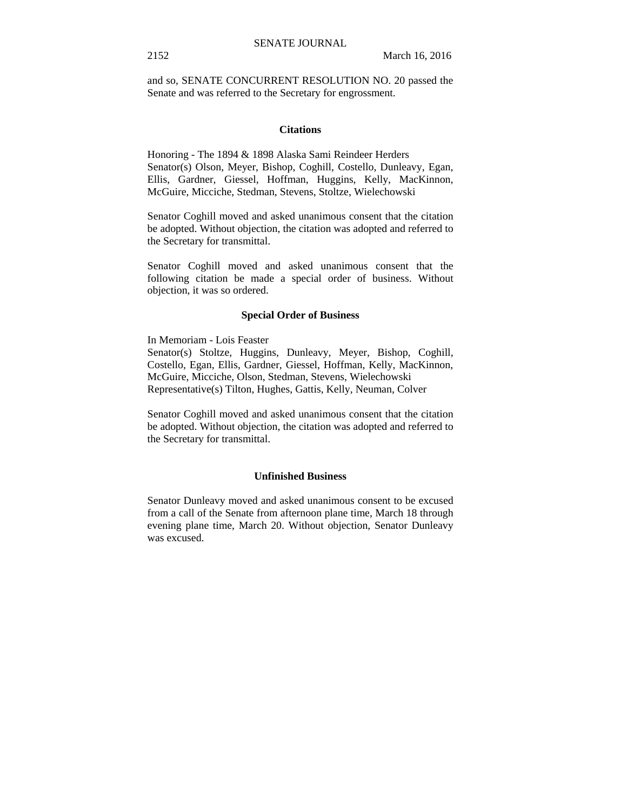and so, SENATE CONCURRENT RESOLUTION NO. 20 passed the Senate and was referred to the Secretary for engrossment.

### **Citations**

Honoring - The 1894 & 1898 Alaska Sami Reindeer Herders Senator(s) Olson, Meyer, Bishop, Coghill, Costello, Dunleavy, Egan, Ellis, Gardner, Giessel, Hoffman, Huggins, Kelly, MacKinnon, McGuire, Micciche, Stedman, Stevens, Stoltze, Wielechowski

Senator Coghill moved and asked unanimous consent that the citation be adopted. Without objection, the citation was adopted and referred to the Secretary for transmittal.

Senator Coghill moved and asked unanimous consent that the following citation be made a special order of business. Without objection, it was so ordered.

#### **Special Order of Business**

In Memoriam - Lois Feaster

Senator(s) Stoltze, Huggins, Dunleavy, Meyer, Bishop, Coghill, Costello, Egan, Ellis, Gardner, Giessel, Hoffman, Kelly, MacKinnon, McGuire, Micciche, Olson, Stedman, Stevens, Wielechowski Representative(s) Tilton, Hughes, Gattis, Kelly, Neuman, Colver

Senator Coghill moved and asked unanimous consent that the citation be adopted. Without objection, the citation was adopted and referred to the Secretary for transmittal.

#### **Unfinished Business**

Senator Dunleavy moved and asked unanimous consent to be excused from a call of the Senate from afternoon plane time, March 18 through evening plane time, March 20. Without objection, Senator Dunleavy was excused.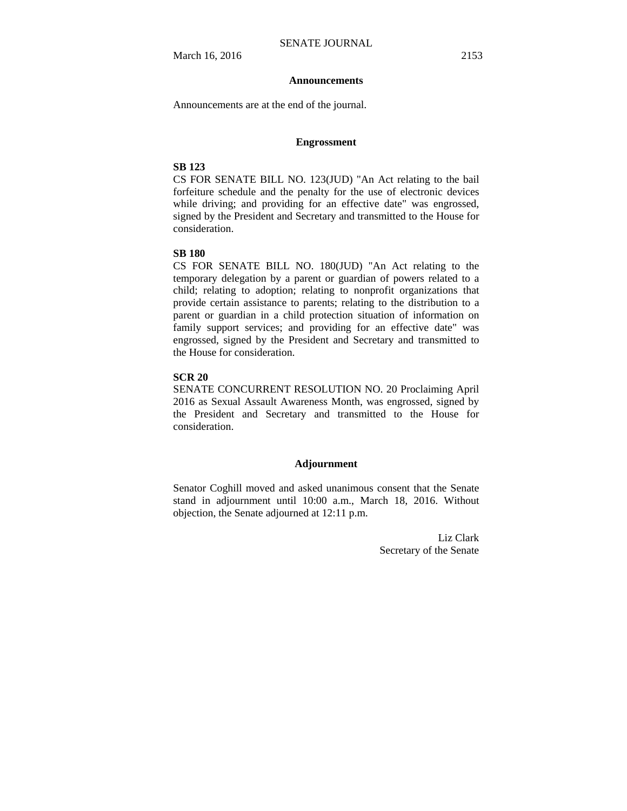#### **Announcements**

Announcements are at the end of the journal.

#### **Engrossment**

### **SB 123**

CS FOR SENATE BILL NO. 123(JUD) "An Act relating to the bail forfeiture schedule and the penalty for the use of electronic devices while driving; and providing for an effective date" was engrossed, signed by the President and Secretary and transmitted to the House for consideration.

### **SB 180**

CS FOR SENATE BILL NO. 180(JUD) "An Act relating to the temporary delegation by a parent or guardian of powers related to a child; relating to adoption; relating to nonprofit organizations that provide certain assistance to parents; relating to the distribution to a parent or guardian in a child protection situation of information on family support services; and providing for an effective date" was engrossed, signed by the President and Secretary and transmitted to the House for consideration.

### **SCR 20**

SENATE CONCURRENT RESOLUTION NO. 20 Proclaiming April 2016 as Sexual Assault Awareness Month, was engrossed, signed by the President and Secretary and transmitted to the House for consideration.

#### **Adjournment**

Senator Coghill moved and asked unanimous consent that the Senate stand in adjournment until 10:00 a.m., March 18, 2016. Without objection, the Senate adjourned at 12:11 p.m.

> Liz Clark Secretary of the Senate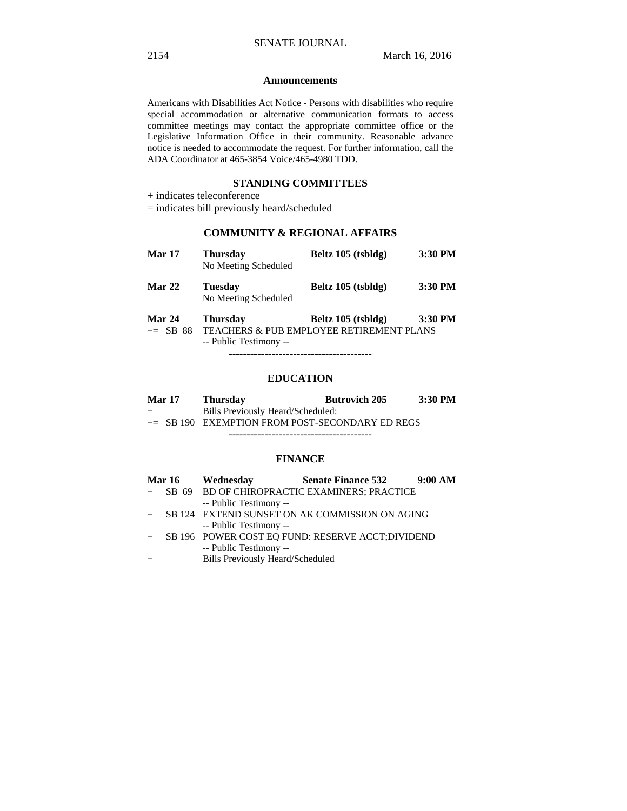#### **Announcements**

Americans with Disabilities Act Notice - Persons with disabilities who require special accommodation or alternative communication formats to access committee meetings may contact the appropriate committee office or the Legislative Information Office in their community. Reasonable advance notice is needed to accommodate the request. For further information, call the ADA Coordinator at 465-3854 Voice/465-4980 TDD.

### **STANDING COMMITTEES**

+ indicates teleconference

= indicates bill previously heard/scheduled

### **COMMUNITY & REGIONAL AFFAIRS**

| Mar 17               | <b>Thursday</b><br>No Meeting Scheduled   | Beltz 105 (tsbldg)                                                        | 3:30 PM |
|----------------------|-------------------------------------------|---------------------------------------------------------------------------|---------|
| Mar 22               | <b>Tuesday</b><br>No Meeting Scheduled    | Beltz 105 (tsbldg)                                                        | 3:30 PM |
| Mar 24<br>$+=$ SB 88 | <b>Thursday</b><br>-- Public Testimony -- | Beltz 105 (tsbldg)<br><b>TEACHERS &amp; PUB EMPLOYEE RETIREMENT PLANS</b> | 3:30 PM |
|                      |                                           |                                                                           |         |

### **EDUCATION**

| <b>Mar 17</b> | <b>Thursday</b>                                    | <b>Butrovich 205</b> | $3:30$ PM |
|---------------|----------------------------------------------------|----------------------|-----------|
| $+$           | Bills Previously Heard/Scheduled:                  |                      |           |
|               | $\pm$ SB 190 EXEMPTION FROM POST-SECONDARY ED REGS |                      |           |
|               |                                                    |                      |           |

### **FINANCE**

|     | <b>Mar 16</b> | Wednesday                               | <b>Senate Finance 532</b>                         | 9:00 AM |
|-----|---------------|-----------------------------------------|---------------------------------------------------|---------|
|     |               |                                         | + SB 69 BD OF CHIROPRACTIC EXAMINERS; PRACTICE    |         |
|     |               | -- Public Testimony --                  |                                                   |         |
| $+$ |               |                                         | SB 124 EXTEND SUNSET ON AK COMMISSION ON AGING    |         |
|     |               | -- Public Testimony --                  |                                                   |         |
| $+$ |               |                                         | SB 196 POWER COST EQ FUND: RESERVE ACCT; DIVIDEND |         |
|     |               | -- Public Testimony --                  |                                                   |         |
| $+$ |               | <b>Bills Previously Heard/Scheduled</b> |                                                   |         |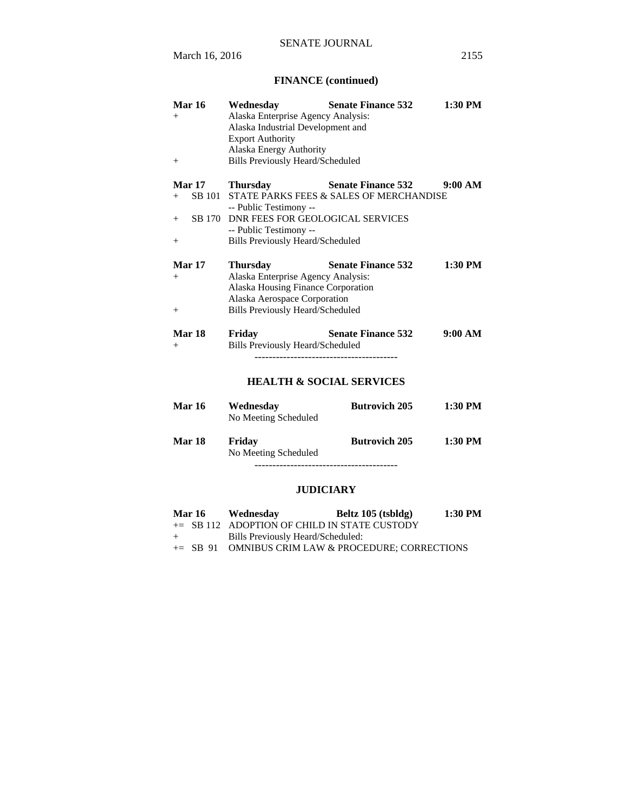# **FINANCE (continued)**

| <b>Mar 16</b><br>$+$<br>$^{+}$ | Wednesday<br>Alaska Enterprise Agency Analysis:<br>Alaska Industrial Development and<br><b>Export Authority</b><br>Alaska Energy Authority<br><b>Bills Previously Heard/Scheduled</b> | <b>Senate Finance 532</b>               | $1:30$ PM |
|--------------------------------|---------------------------------------------------------------------------------------------------------------------------------------------------------------------------------------|-----------------------------------------|-----------|
| Mar 17                         | <b>Thursday</b>                                                                                                                                                                       | <b>Senate Finance 532</b>               | 9:00 AM   |
| SB 101<br>$^{+}$               |                                                                                                                                                                                       | STATE PARKS FEES & SALES OF MERCHANDISE |           |
| SB 170<br>$^{+}$               | -- Public Testimony --<br>DNR FEES FOR GEOLOGICAL SERVICES                                                                                                                            |                                         |           |
|                                | -- Public Testimony --                                                                                                                                                                |                                         |           |
| $^{+}$                         | <b>Bills Previously Heard/Scheduled</b>                                                                                                                                               |                                         |           |
| Mar 17                         | <b>Thursday</b>                                                                                                                                                                       | <b>Senate Finance 532</b>               | $1:30$ PM |
| $+$                            | Alaska Enterprise Agency Analysis:<br>Alaska Housing Finance Corporation                                                                                                              |                                         |           |
|                                | Alaska Aerospace Corporation                                                                                                                                                          |                                         |           |
| $^{+}$                         | <b>Bills Previously Heard/Scheduled</b>                                                                                                                                               |                                         |           |
| <b>Mar 18</b><br>$^{+}$        | Friday<br><b>Bills Previously Heard/Scheduled</b>                                                                                                                                     | <b>Senate Finance 532</b>               | 9:00 AM   |
|                                |                                                                                                                                                                                       | <b>HEALTH &amp; SOCIAL SERVICES</b>     |           |
| <b>Mar 16</b>                  | Wednesday<br>No Meeting Scheduled                                                                                                                                                     | <b>Butrovich 205</b>                    | $1:30$ PM |
| Mar 18                         | Friday<br>No Meeting Scheduled                                                                                                                                                        | <b>Butrovich 205</b>                    | $1:30$ PM |

----------------------------------------

# **JUDICIARY**

|     | <b>Mar 16</b> | Wednesday                         | Beltz 105 (tsbldg)                                   | 1:30 PM |
|-----|---------------|-----------------------------------|------------------------------------------------------|---------|
|     |               |                                   | $+=$ SB 112 ADOPTION OF CHILD IN STATE CUSTODY       |         |
| $+$ |               | Bills Previously Heard/Scheduled: |                                                      |         |
|     |               |                                   | $+=$ SB 91 OMNIBUS CRIM LAW & PROCEDURE; CORRECTIONS |         |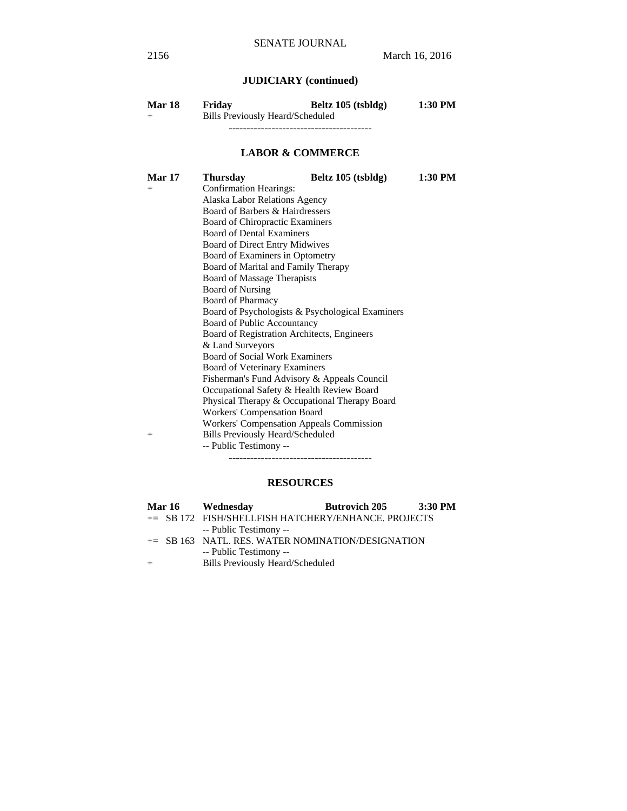# **JUDICIARY (continued)**

| <b>Mar 18</b> | Friday                           | Beltz 105 (tsbldg) | 1:30 PM |
|---------------|----------------------------------|--------------------|---------|
| $^+$          | Bills Previously Heard/Scheduled |                    |         |
|               |                                  |                    |         |

### **LABOR & COMMERCE**

| <b>Mar 17</b> | <b>Thursday</b>                                  | Beltz 105 (tsbldg) | 1:30 PM |  |
|---------------|--------------------------------------------------|--------------------|---------|--|
| $^{+}$        | <b>Confirmation Hearings:</b>                    |                    |         |  |
|               | Alaska Labor Relations Agency                    |                    |         |  |
|               | Board of Barbers & Hairdressers                  |                    |         |  |
|               | <b>Board of Chiropractic Examiners</b>           |                    |         |  |
|               | <b>Board of Dental Examiners</b>                 |                    |         |  |
|               | Board of Direct Entry Midwives                   |                    |         |  |
|               | Board of Examiners in Optometry                  |                    |         |  |
|               | Board of Marital and Family Therapy              |                    |         |  |
|               | <b>Board of Massage Therapists</b>               |                    |         |  |
|               | <b>Board of Nursing</b>                          |                    |         |  |
|               | <b>Board of Pharmacy</b>                         |                    |         |  |
|               | Board of Psychologists & Psychological Examiners |                    |         |  |
|               | Board of Public Accountancy                      |                    |         |  |
|               | Board of Registration Architects, Engineers      |                    |         |  |
|               | & Land Surveyors                                 |                    |         |  |
|               | <b>Board of Social Work Examiners</b>            |                    |         |  |
|               | <b>Board of Veterinary Examiners</b>             |                    |         |  |
|               | Fisherman's Fund Advisory & Appeals Council      |                    |         |  |
|               | Occupational Safety & Health Review Board        |                    |         |  |
|               | Physical Therapy & Occupational Therapy Board    |                    |         |  |
|               | Workers' Compensation Board                      |                    |         |  |
|               | <b>Workers' Compensation Appeals Commission</b>  |                    |         |  |
| $+$           | <b>Bills Previously Heard/Scheduled</b>          |                    |         |  |
|               | -- Public Testimony --                           |                    |         |  |
|               |                                                  |                    |         |  |

# **RESOURCES**

|  | Mar 16 Wednesday                                     | <b>Butrovich 205</b> | 3:30 PM |
|--|------------------------------------------------------|----------------------|---------|
|  | += SB 172 FISH/SHELLFISH HATCHERY/ENHANCE. PROJECTS  |                      |         |
|  | -- Public Testimony --                               |                      |         |
|  | $\pm$ SB 163 NATL. RES. WATER NOMINATION/DESIGNATION |                      |         |
|  | -- Public Testimony --                               |                      |         |
|  | <b>Bills Previously Heard/Scheduled</b>              |                      |         |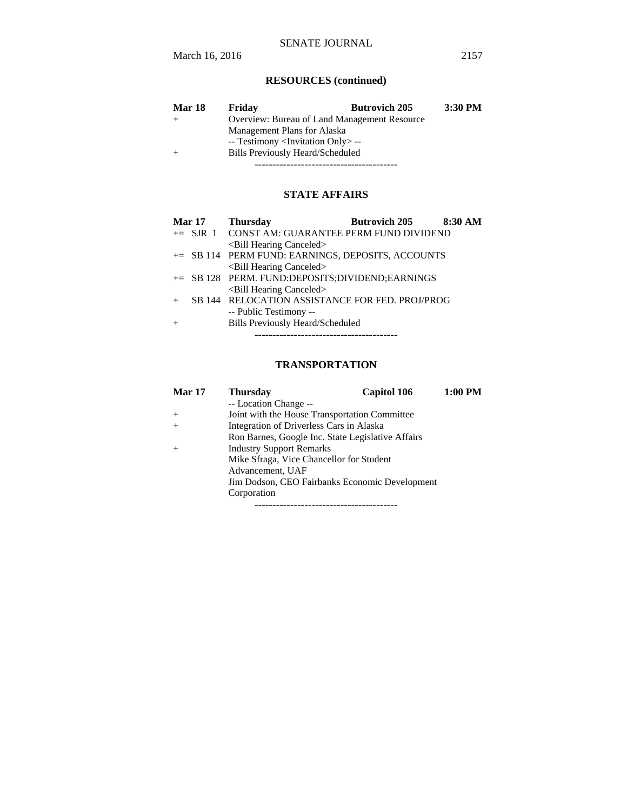# **RESOURCES (continued)**

| Mar 18 | Friday                                            | <b>Butrovich 205</b> | 3:30 PM |
|--------|---------------------------------------------------|----------------------|---------|
|        | Overview: Bureau of Land Management Resource      |                      |         |
|        | Management Plans for Alaska                       |                      |         |
|        | -- Testimony <invitation only=""> --</invitation> |                      |         |
| $+$    | Bills Previously Heard/Scheduled                  |                      |         |
|        |                                                   |                      |         |

## **STATE AFFAIRS**

| Mar 17 | <b>Butrovich 205</b><br>8:30 AM<br><b>Thursday</b> |
|--------|----------------------------------------------------|
|        | += SJR 1 CONST AM: GUARANTEE PERM FUND DIVIDEND    |
|        | <bill canceled="" hearing=""></bill>               |
|        | += SB 114 PERM FUND: EARNINGS, DEPOSITS, ACCOUNTS  |
|        | <bill canceled="" hearing=""></bill>               |
|        | += SB 128 PERM. FUND:DEPOSITS;DIVIDEND;EARNINGS    |
|        | <bill canceled="" hearing=""></bill>               |
|        | SB 144 RELOCATION ASSISTANCE FOR FED. PROJ/PROG    |
|        | -- Public Testimony --                             |
|        | <b>Bills Previously Heard/Scheduled</b>            |
|        |                                                    |

# **TRANSPORTATION**

| Mar 17 | <b>Thursday</b>                                   | Capitol 106 | 1:00 PM |
|--------|---------------------------------------------------|-------------|---------|
|        | -- Location Change --                             |             |         |
| $^{+}$ | Joint with the House Transportation Committee     |             |         |
| $^{+}$ | Integration of Driverless Cars in Alaska          |             |         |
|        | Ron Barnes, Google Inc. State Legislative Affairs |             |         |
| $^{+}$ | <b>Industry Support Remarks</b>                   |             |         |
|        | Mike Sfraga, Vice Chancellor for Student          |             |         |
|        | Advancement, UAF                                  |             |         |
|        | Jim Dodson, CEO Fairbanks Economic Development    |             |         |
|        | Corporation                                       |             |         |
|        |                                                   |             |         |